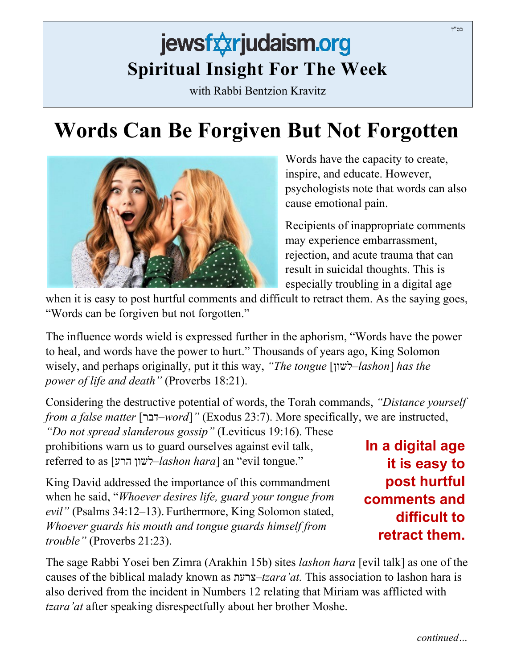## jewsfxxrjudaism.org **Spiritual Insight For The Week**

with Rabbi Bentzion Kravitz

## **Words Can Be Forgiven But Not Forgotten**

Words have the capacity to create, inspire, and educate. However, psychologists note that words can also cause emotional pain.

Recipients of inappropriate comments may experience embarrassment, rejection, and acute trauma that can result in suicidal thoughts. This is especially troubling in a digital age

when it is easy to post hurtful comments and difficult to retract them. As the saying goes, "Words can be forgiven but not forgotten."

The influence words wield is expressed further in the aphorism, "Words have the power to heal, and words have the power to hurt." Thousands of years ago, King Solomon wisely, and perhaps originally, put it this way, *"The tongue* [ לשון–*lashon*] *has the power of life and death"* (Proverbs 18:21).

Considering the destructive potential of words, the Torah commands, *"Distance yourself from a false matter* [דבר–*word*]*"* (Exodus 23:7). More specifically, we are instructed,

*"Do not spread slanderous gossip"* (Leviticus 19:16). These prohibitions warn us to guard ourselves against evil talk, referred to as [הרע לשון–*lashon hara*] an "evil tongue."

King David addressed the importance of this commandment when he said, "*Whoever desires life, guard your tongue from evil"* (Psalms 34:12–13). Furthermore, King Solomon stated, *Whoever guards his mouth and tongue guards himself from trouble"* (Proverbs 21:23).

The sage Rabbi Yosei ben Zimra (Arakhin 15b) sites *lashon hara* [evil talk] as one of the causes of the biblical malady known as צרעת–*tzara'at.* This association to lashon hara is also derived from the incident in Numbers 12 relating that Miriam was afflicted with *tzara'at* after speaking disrespectfully about her brother Moshe.

**In a digital age it is easy to post hurtful comments and difficult to retract them.**